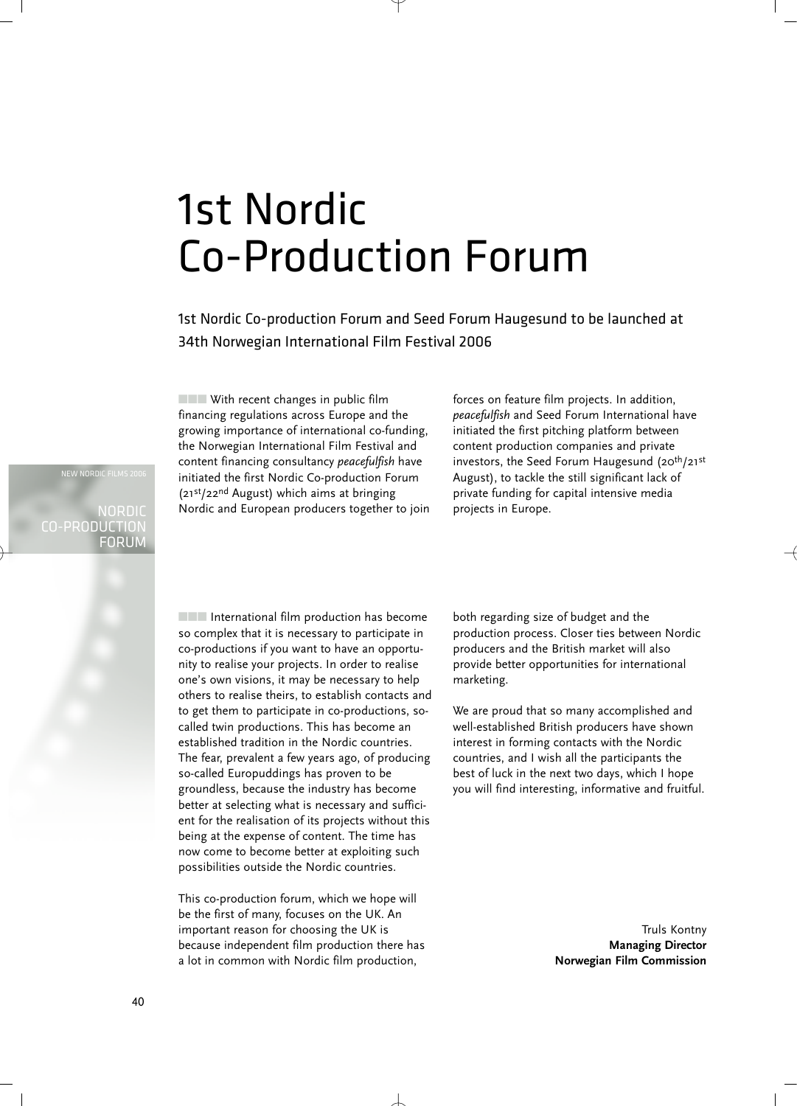## 1st Nordic Co-Production Forum

1st Nordic Co-production Forum and Seed Forum Haugesund to be launched at 34th Norwegian International Film Festival 2006

■■■ With recent changes in public film financing regulations across Europe and the growing importance of international co-funding, the Norwegian International Film Festival and content financing consultancy *peacefulfish* have initiated the first Nordic Co-production Forum (21st/22nd August) which aims at bringing Nordic and European producers together to join forces on feature film projects. In addition, *peacefulfish* and Seed Forum International have initiated the first pitching platform between content production companies and private investors, the Seed Forum Haugesund (20<sup>th</sup>/21st August), to tackle the still significant lack of private funding for capital intensive media projects in Europe.

NEW NORDIC FILMS 2006

NORDIC CO-PRODUCTION FORUM

> ■■■ International film production has become so complex that it is necessary to participate in co-productions if you want to have an opportunity to realise your projects. In order to realise one's own visions, it may be necessary to help others to realise theirs, to establish contacts and to get them to participate in co-productions, socalled twin productions. This has become an established tradition in the Nordic countries. The fear, prevalent a few years ago, of producing so-called Europuddings has proven to be groundless, because the industry has become better at selecting what is necessary and sufficient for the realisation of its projects without this being at the expense of content. The time has now come to become better at exploiting such possibilities outside the Nordic countries.

This co-production forum, which we hope will be the first of many, focuses on the UK. An important reason for choosing the UK is because independent film production there has a lot in common with Nordic film production,

both regarding size of budget and the production process. Closer ties between Nordic producers and the British market will also provide better opportunities for international marketing.

We are proud that so many accomplished and well-established British producers have shown interest in forming contacts with the Nordic countries, and I wish all the participants the best of luck in the next two days, which I hope you will find interesting, informative and fruitful.

> Truls Kontny **Managing Director Norwegian Film Commission**